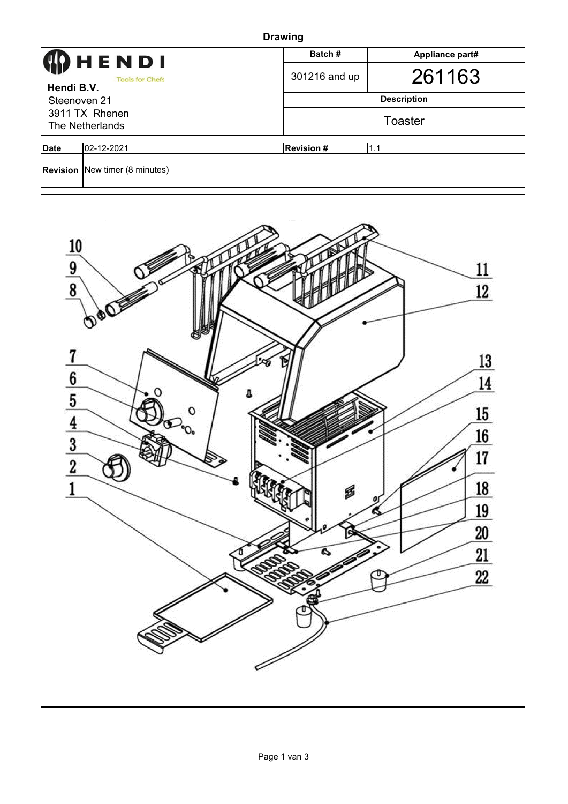|                                                                                                                       | <b>Drawing</b>                        |                         |                                                                                                                   |  |  |  |  |  |  |
|-----------------------------------------------------------------------------------------------------------------------|---------------------------------------|-------------------------|-------------------------------------------------------------------------------------------------------------------|--|--|--|--|--|--|
|                                                                                                                       | HENDI                                 | Batch#                  | Appliance part#                                                                                                   |  |  |  |  |  |  |
| Hendi B.V.                                                                                                            | <b>Tools for Chefs</b>                | 301216 and up           | 261163                                                                                                            |  |  |  |  |  |  |
| Steenoven 21                                                                                                          |                                       |                         | <b>Description</b>                                                                                                |  |  |  |  |  |  |
| 3911 TX Rhenen<br>The Netherlands                                                                                     |                                       | Toaster                 |                                                                                                                   |  |  |  |  |  |  |
| <b>Date</b>                                                                                                           | 02-12-2021                            | <b>Revision#</b><br>1.1 |                                                                                                                   |  |  |  |  |  |  |
|                                                                                                                       | <b>Revision</b> New timer (8 minutes) |                         |                                                                                                                   |  |  |  |  |  |  |
| $\frac{10}{9}$<br>$\overline{1}$<br>$\frac{6}{5}$ $\frac{4}{4}$<br>$\overline{\mathbf{3}}$<br>$\overline{\mathbf{c}}$ | $^{\circ}O_{\circ}$                   | B<br>C)<br>Q            | <u>11</u><br>12<br>13<br>14<br>15<br>16<br>17<br>.,<br><u>18</u><br><u>19</u><br>6<br>20<br>$\overline{21}$<br>22 |  |  |  |  |  |  |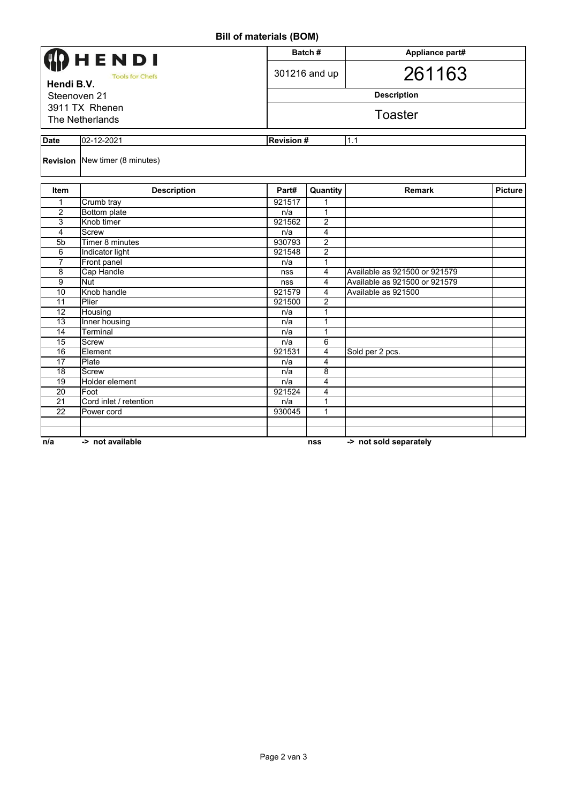**Bill of materials (BOM)**

|                                                                                                             | $\cdots$ . $\cdots$ . $\cdots$ . $\cdots$ , $\cdots$ , $\cdots$ |                  |                                      |                               |                |  |  |  |  |
|-------------------------------------------------------------------------------------------------------------|-----------------------------------------------------------------|------------------|--------------------------------------|-------------------------------|----------------|--|--|--|--|
| <b>)</b> HENDI<br><b>Tools for Chefs</b><br>Hendi B.V.<br>Steenoven 21<br>3911 TX Rhenen<br>The Netherlands |                                                                 |                  | Batch#                               | Appliance part#<br>261163     |                |  |  |  |  |
|                                                                                                             |                                                                 |                  | 301216 and up                        |                               |                |  |  |  |  |
|                                                                                                             |                                                                 |                  | <b>Description</b><br><b>Toaster</b> |                               |                |  |  |  |  |
|                                                                                                             |                                                                 |                  |                                      |                               |                |  |  |  |  |
| <b>Date</b>                                                                                                 | 02-12-2021                                                      | <b>Revision#</b> |                                      | 1.1                           |                |  |  |  |  |
|                                                                                                             | <b>Revision</b> New timer (8 minutes)                           |                  |                                      |                               |                |  |  |  |  |
| Item                                                                                                        | <b>Description</b>                                              | Part#            | Quantity                             | <b>Remark</b>                 | <b>Picture</b> |  |  |  |  |
| 1                                                                                                           | Crumb tray                                                      | 921517           |                                      |                               |                |  |  |  |  |
| $\overline{2}$                                                                                              | <b>Bottom plate</b>                                             | n/a              | $\mathbf{1}$                         |                               |                |  |  |  |  |
| 3                                                                                                           | Knob timer                                                      | 921562           | $\overline{2}$                       |                               |                |  |  |  |  |
| 4                                                                                                           | <b>Screw</b>                                                    | n/a              | 4                                    |                               |                |  |  |  |  |
| 5 <sub>b</sub>                                                                                              | Timer 8 minutes                                                 | 930793           | 2                                    |                               |                |  |  |  |  |
| 6                                                                                                           | Indicator light                                                 | 921548           | 2                                    |                               |                |  |  |  |  |
| $\overline{7}$                                                                                              | Front panel                                                     | n/a              | 1                                    |                               |                |  |  |  |  |
| $\overline{\mathbf{8}}$                                                                                     | Cap Handle                                                      | nss              | 4                                    | Available as 921500 or 921579 |                |  |  |  |  |
| $\overline{9}$                                                                                              | <b>Nut</b>                                                      | nss              | 4                                    | Available as 921500 or 921579 |                |  |  |  |  |
| 10                                                                                                          | Knob handle                                                     | 921579           | 4                                    | Available as 921500           |                |  |  |  |  |
| 11                                                                                                          | Plier                                                           | 921500           | 2                                    |                               |                |  |  |  |  |
| 12                                                                                                          | Housing                                                         | n/a              | 1                                    |                               |                |  |  |  |  |
| $\overline{13}$                                                                                             | Inner housing                                                   | n/a              | 1                                    |                               |                |  |  |  |  |
| 14                                                                                                          | Terminal                                                        | n/a              | 1                                    |                               |                |  |  |  |  |
| 15                                                                                                          | Screw                                                           | n/a              | 6                                    |                               |                |  |  |  |  |
| 16                                                                                                          | Element                                                         | 921531           | 4                                    | Sold per 2 pcs.               |                |  |  |  |  |
| 17                                                                                                          | Plate                                                           | n/a              | 4                                    |                               |                |  |  |  |  |
| 18                                                                                                          | <b>Screw</b>                                                    | n/a              | 8                                    |                               |                |  |  |  |  |
| $\overline{19}$                                                                                             | Holder element                                                  | n/a              | 4                                    |                               |                |  |  |  |  |
| $\overline{20}$                                                                                             | Foot                                                            | 921524           | 4                                    |                               |                |  |  |  |  |
| 21                                                                                                          | Cord inlet / retention                                          | n/a              | 1                                    |                               |                |  |  |  |  |
| $\overline{22}$                                                                                             | Power cord                                                      | 930045           | 1                                    |                               |                |  |  |  |  |
|                                                                                                             |                                                                 |                  |                                      |                               |                |  |  |  |  |
| n/a                                                                                                         | -> not available                                                |                  | <b>nss</b>                           | -> not sold separately        |                |  |  |  |  |